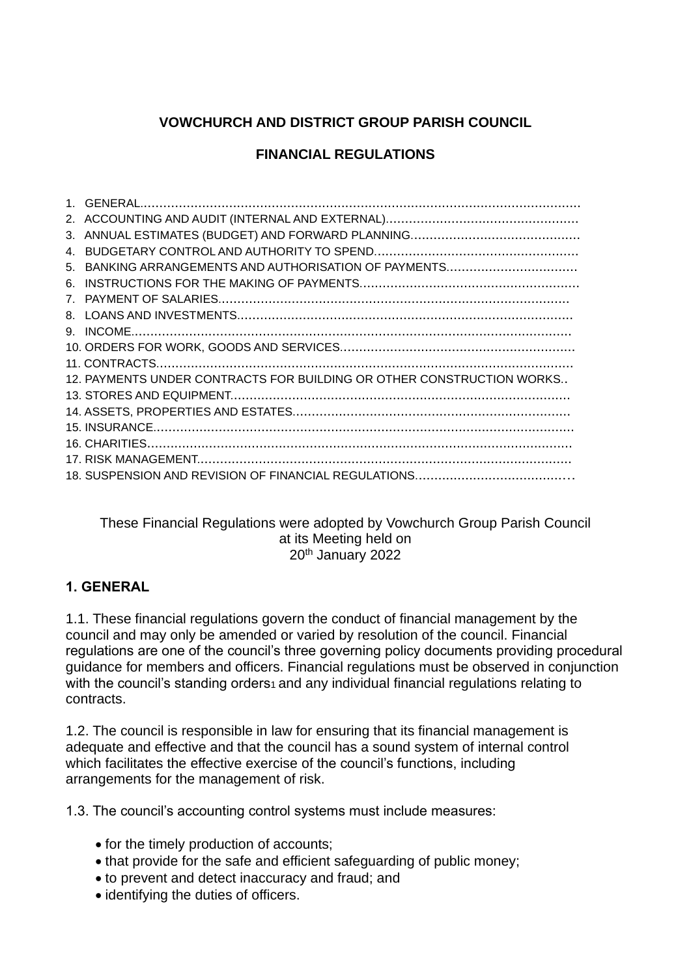# **VOWCHURCH AND DISTRICT GROUP PARISH COUNCIL**

## **FINANCIAL REGULATIONS**

| 5.                             |                                                                       |
|--------------------------------|-----------------------------------------------------------------------|
| 6.                             |                                                                       |
| $7_{\scriptscriptstyle{\sim}}$ |                                                                       |
| 8.                             |                                                                       |
|                                |                                                                       |
|                                |                                                                       |
|                                |                                                                       |
|                                | 12. PAYMENTS UNDER CONTRACTS FOR BUILDING OR OTHER CONSTRUCTION WORKS |
|                                |                                                                       |
|                                |                                                                       |
|                                |                                                                       |
|                                |                                                                       |
|                                |                                                                       |
|                                |                                                                       |

These Financial Regulations were adopted by Vowchurch Group Parish Council at its Meeting held on 20th January 2022

## **1. GENERAL**

1.1. These financial regulations govern the conduct of financial management by the council and may only be amended or varied by resolution of the council. Financial regulations are one of the council's three governing policy documents providing procedural guidance for members and officers. Financial regulations must be observed in conjunction with the council's standing orders<sub>1</sub> and any individual financial regulations relating to contracts.

1.2. The council is responsible in law for ensuring that its financial management is adequate and effective and that the council has a sound system of internal control which facilitates the effective exercise of the council's functions, including arrangements for the management of risk.

1.3. The council's accounting control systems must include measures:

- for the timely production of accounts;
- that provide for the safe and efficient safeguarding of public money;
- to prevent and detect inaccuracy and fraud; and
- identifying the duties of officers.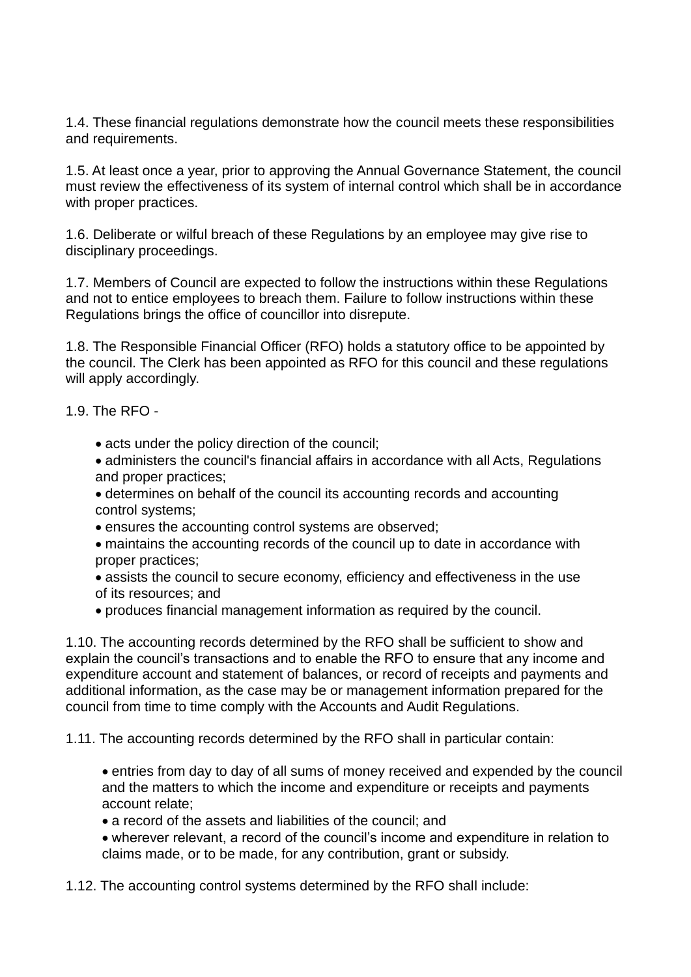1.4. These financial regulations demonstrate how the council meets these responsibilities and requirements.

1.5. At least once a year, prior to approving the Annual Governance Statement, the council must review the effectiveness of its system of internal control which shall be in accordance with proper practices.

1.6. Deliberate or wilful breach of these Regulations by an employee may give rise to disciplinary proceedings.

1.7. Members of Council are expected to follow the instructions within these Regulations and not to entice employees to breach them. Failure to follow instructions within these Regulations brings the office of councillor into disrepute.

1.8. The Responsible Financial Officer (RFO) holds a statutory office to be appointed by the council. The Clerk has been appointed as RFO for this council and these regulations will apply accordingly.

1.9. The RFO -

- acts under the policy direction of the council;
- administers the council's financial affairs in accordance with all Acts, Regulations and proper practices;
- determines on behalf of the council its accounting records and accounting control systems;
- ensures the accounting control systems are observed;
- maintains the accounting records of the council up to date in accordance with proper practices;
- assists the council to secure economy, efficiency and effectiveness in the use of its resources; and
- produces financial management information as required by the council.

1.10. The accounting records determined by the RFO shall be sufficient to show and explain the council's transactions and to enable the RFO to ensure that any income and expenditure account and statement of balances, or record of receipts and payments and additional information, as the case may be or management information prepared for the council from time to time comply with the Accounts and Audit Regulations.

1.11. The accounting records determined by the RFO shall in particular contain:

- entries from day to day of all sums of money received and expended by the council and the matters to which the income and expenditure or receipts and payments account relate;
- a record of the assets and liabilities of the council; and
- wherever relevant, a record of the council's income and expenditure in relation to claims made, or to be made, for any contribution, grant or subsidy.

1.12. The accounting control systems determined by the RFO shall include: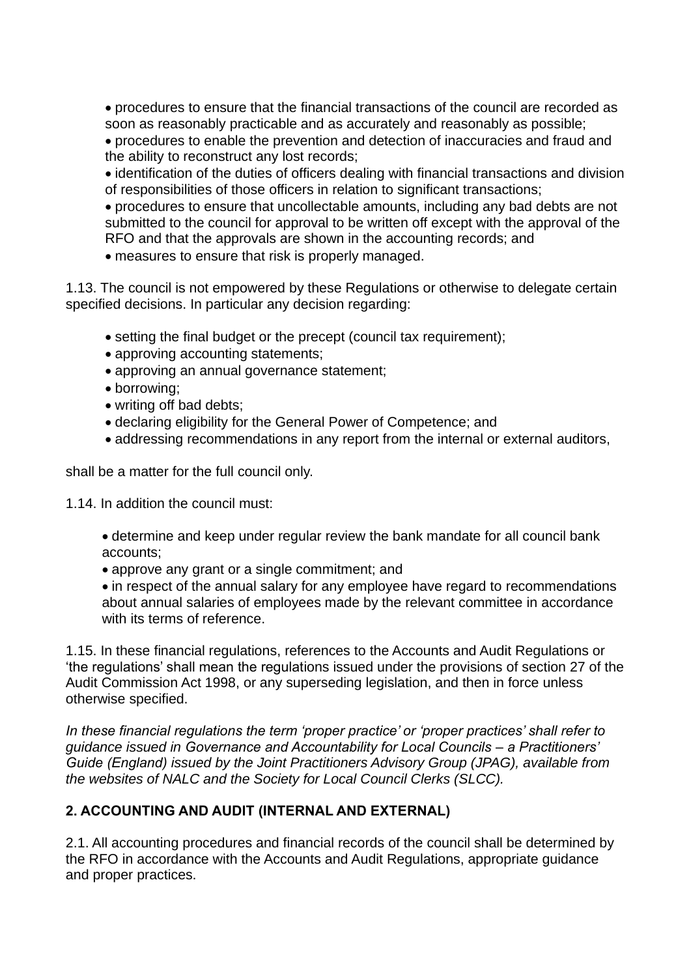• procedures to ensure that the financial transactions of the council are recorded as soon as reasonably practicable and as accurately and reasonably as possible;

• procedures to enable the prevention and detection of inaccuracies and fraud and the ability to reconstruct any lost records;

• identification of the duties of officers dealing with financial transactions and division of responsibilities of those officers in relation to significant transactions;

• procedures to ensure that uncollectable amounts, including any bad debts are not submitted to the council for approval to be written off except with the approval of the RFO and that the approvals are shown in the accounting records; and

• measures to ensure that risk is properly managed.

1.13. The council is not empowered by these Regulations or otherwise to delegate certain specified decisions. In particular any decision regarding:

- setting the final budget or the precept (council tax requirement);
- approving accounting statements;
- approving an annual governance statement;
- borrowing;
- writing off bad debts;
- declaring eligibility for the General Power of Competence; and
- addressing recommendations in any report from the internal or external auditors,

shall be a matter for the full council only.

- 1.14. In addition the council must:
	- determine and keep under regular review the bank mandate for all council bank accounts;
	- approve any grant or a single commitment; and

• in respect of the annual salary for any employee have regard to recommendations about annual salaries of employees made by the relevant committee in accordance with its terms of reference.

1.15. In these financial regulations, references to the Accounts and Audit Regulations or 'the regulations' shall mean the regulations issued under the provisions of section 27 of the Audit Commission Act 1998, or any superseding legislation, and then in force unless otherwise specified.

*In these financial regulations the term 'proper practice' or 'proper practices' shall refer to guidance issued in Governance and Accountability for Local Councils – a Practitioners' Guide (England) issued by the Joint Practitioners Advisory Group (JPAG), available from the websites of NALC and the Society for Local Council Clerks (SLCC).*

# **2. ACCOUNTING AND AUDIT (INTERNAL AND EXTERNAL)**

2.1. All accounting procedures and financial records of the council shall be determined by the RFO in accordance with the Accounts and Audit Regulations, appropriate guidance and proper practices.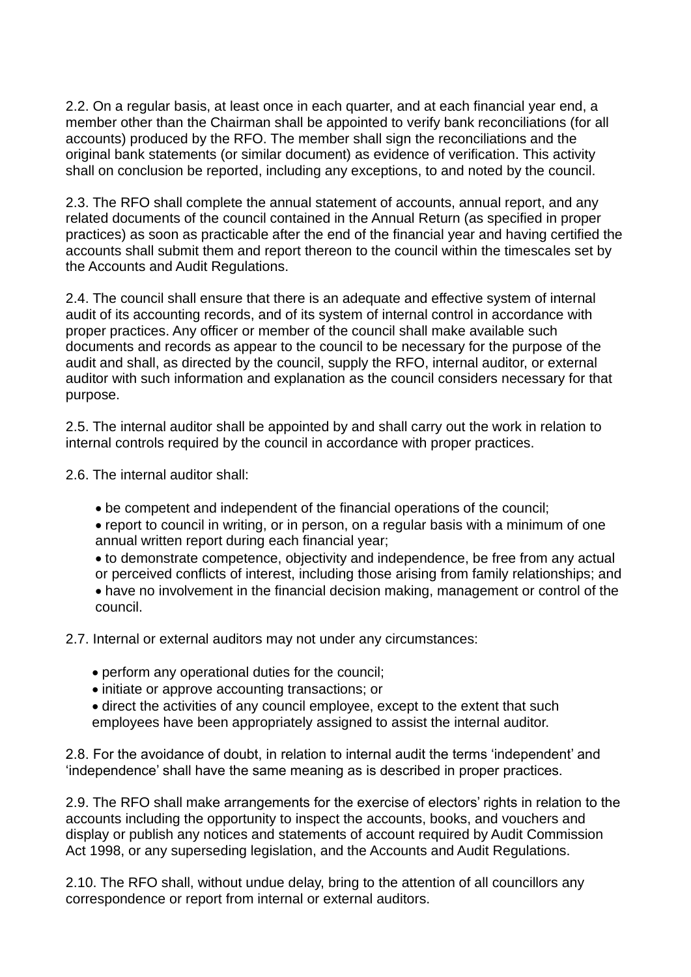2.2. On a regular basis, at least once in each quarter, and at each financial year end, a member other than the Chairman shall be appointed to verify bank reconciliations (for all accounts) produced by the RFO. The member shall sign the reconciliations and the original bank statements (or similar document) as evidence of verification. This activity shall on conclusion be reported, including any exceptions, to and noted by the council.

2.3. The RFO shall complete the annual statement of accounts, annual report, and any related documents of the council contained in the Annual Return (as specified in proper practices) as soon as practicable after the end of the financial year and having certified the accounts shall submit them and report thereon to the council within the timescales set by the Accounts and Audit Regulations.

2.4. The council shall ensure that there is an adequate and effective system of internal audit of its accounting records, and of its system of internal control in accordance with proper practices. Any officer or member of the council shall make available such documents and records as appear to the council to be necessary for the purpose of the audit and shall, as directed by the council, supply the RFO, internal auditor, or external auditor with such information and explanation as the council considers necessary for that purpose.

2.5. The internal auditor shall be appointed by and shall carry out the work in relation to internal controls required by the council in accordance with proper practices.

2.6. The internal auditor shall:

- be competent and independent of the financial operations of the council;
- report to council in writing, or in person, on a regular basis with a minimum of one annual written report during each financial year;
- to demonstrate competence, objectivity and independence, be free from any actual or perceived conflicts of interest, including those arising from family relationships; and • have no involvement in the financial decision making, management or control of the
- council.
- 2.7. Internal or external auditors may not under any circumstances:
	- perform any operational duties for the council;
	- initiate or approve accounting transactions; or
	- direct the activities of any council employee, except to the extent that such employees have been appropriately assigned to assist the internal auditor.

2.8. For the avoidance of doubt, in relation to internal audit the terms 'independent' and 'independence' shall have the same meaning as is described in proper practices.

2.9. The RFO shall make arrangements for the exercise of electors' rights in relation to the accounts including the opportunity to inspect the accounts, books, and vouchers and display or publish any notices and statements of account required by Audit Commission Act 1998, or any superseding legislation, and the Accounts and Audit Regulations.

2.10. The RFO shall, without undue delay, bring to the attention of all councillors any correspondence or report from internal or external auditors.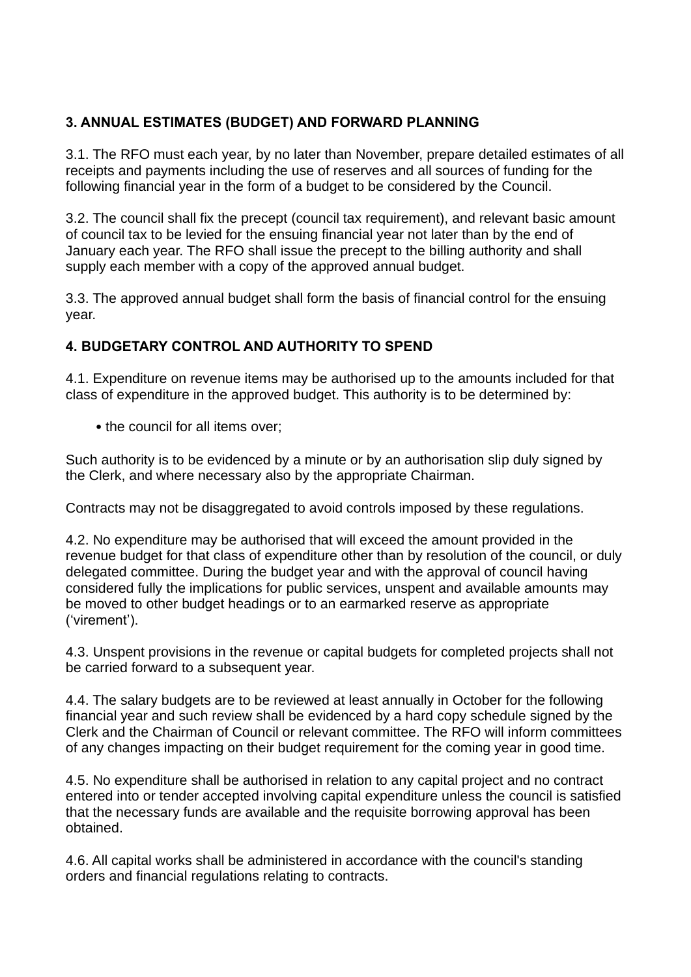# **3. ANNUAL ESTIMATES (BUDGET) AND FORWARD PLANNING**

3.1. The RFO must each year, by no later than November, prepare detailed estimates of all receipts and payments including the use of reserves and all sources of funding for the following financial year in the form of a budget to be considered by the Council.

3.2. The council shall fix the precept (council tax requirement), and relevant basic amount of council tax to be levied for the ensuing financial year not later than by the end of January each year. The RFO shall issue the precept to the billing authority and shall supply each member with a copy of the approved annual budget.

3.3. The approved annual budget shall form the basis of financial control for the ensuing year.

# **4. BUDGETARY CONTROL AND AUTHORITY TO SPEND**

4.1. Expenditure on revenue items may be authorised up to the amounts included for that class of expenditure in the approved budget. This authority is to be determined by:

• the council for all items over:

Such authority is to be evidenced by a minute or by an authorisation slip duly signed by the Clerk, and where necessary also by the appropriate Chairman.

Contracts may not be disaggregated to avoid controls imposed by these regulations.

4.2. No expenditure may be authorised that will exceed the amount provided in the revenue budget for that class of expenditure other than by resolution of the council, or duly delegated committee. During the budget year and with the approval of council having considered fully the implications for public services, unspent and available amounts may be moved to other budget headings or to an earmarked reserve as appropriate ('virement').

4.3. Unspent provisions in the revenue or capital budgets for completed projects shall not be carried forward to a subsequent year.

4.4. The salary budgets are to be reviewed at least annually in October for the following financial year and such review shall be evidenced by a hard copy schedule signed by the Clerk and the Chairman of Council or relevant committee. The RFO will inform committees of any changes impacting on their budget requirement for the coming year in good time.

4.5. No expenditure shall be authorised in relation to any capital project and no contract entered into or tender accepted involving capital expenditure unless the council is satisfied that the necessary funds are available and the requisite borrowing approval has been obtained.

4.6. All capital works shall be administered in accordance with the council's standing orders and financial regulations relating to contracts.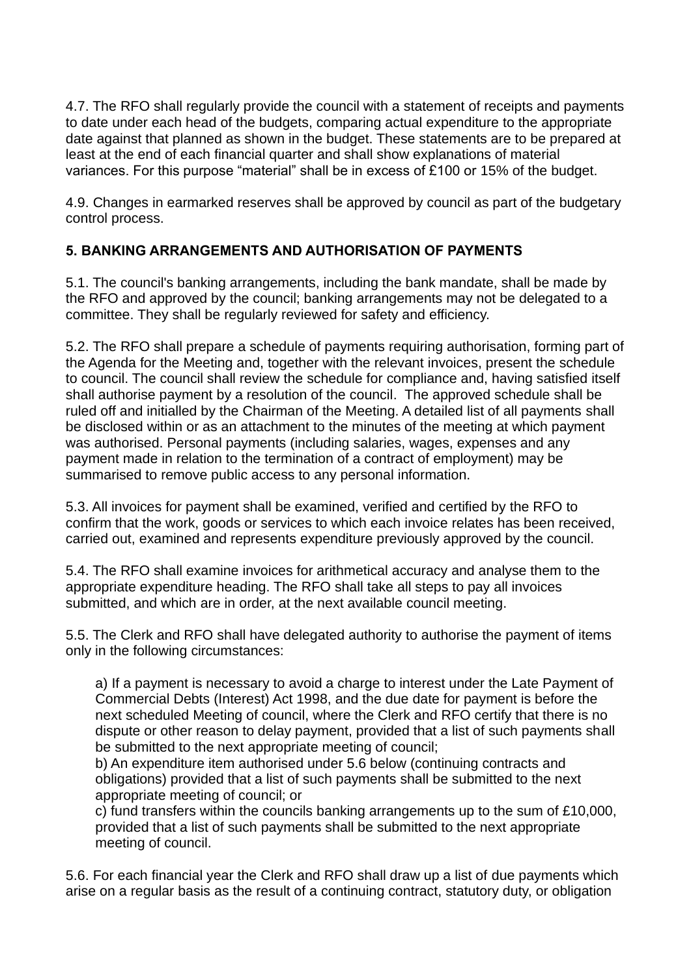4.7. The RFO shall regularly provide the council with a statement of receipts and payments to date under each head of the budgets, comparing actual expenditure to the appropriate date against that planned as shown in the budget. These statements are to be prepared at least at the end of each financial quarter and shall show explanations of material variances. For this purpose "material" shall be in excess of £100 or 15% of the budget.

4.9. Changes in earmarked reserves shall be approved by council as part of the budgetary control process.

## **5. BANKING ARRANGEMENTS AND AUTHORISATION OF PAYMENTS**

5.1. The council's banking arrangements, including the bank mandate, shall be made by the RFO and approved by the council; banking arrangements may not be delegated to a committee. They shall be regularly reviewed for safety and efficiency.

5.2. The RFO shall prepare a schedule of payments requiring authorisation, forming part of the Agenda for the Meeting and, together with the relevant invoices, present the schedule to council. The council shall review the schedule for compliance and, having satisfied itself shall authorise payment by a resolution of the council. The approved schedule shall be ruled off and initialled by the Chairman of the Meeting. A detailed list of all payments shall be disclosed within or as an attachment to the minutes of the meeting at which payment was authorised. Personal payments (including salaries, wages, expenses and any payment made in relation to the termination of a contract of employment) may be summarised to remove public access to any personal information.

5.3. All invoices for payment shall be examined, verified and certified by the RFO to confirm that the work, goods or services to which each invoice relates has been received, carried out, examined and represents expenditure previously approved by the council.

5.4. The RFO shall examine invoices for arithmetical accuracy and analyse them to the appropriate expenditure heading. The RFO shall take all steps to pay all invoices submitted, and which are in order, at the next available council meeting.

5.5. The Clerk and RFO shall have delegated authority to authorise the payment of items only in the following circumstances:

a) If a payment is necessary to avoid a charge to interest under the Late Payment of Commercial Debts (Interest) Act 1998, and the due date for payment is before the next scheduled Meeting of council, where the Clerk and RFO certify that there is no dispute or other reason to delay payment, provided that a list of such payments shall be submitted to the next appropriate meeting of council;

b) An expenditure item authorised under 5.6 below (continuing contracts and obligations) provided that a list of such payments shall be submitted to the next appropriate meeting of council; or

c) fund transfers within the councils banking arrangements up to the sum of £10,000, provided that a list of such payments shall be submitted to the next appropriate meeting of council.

5.6. For each financial year the Clerk and RFO shall draw up a list of due payments which arise on a regular basis as the result of a continuing contract, statutory duty, or obligation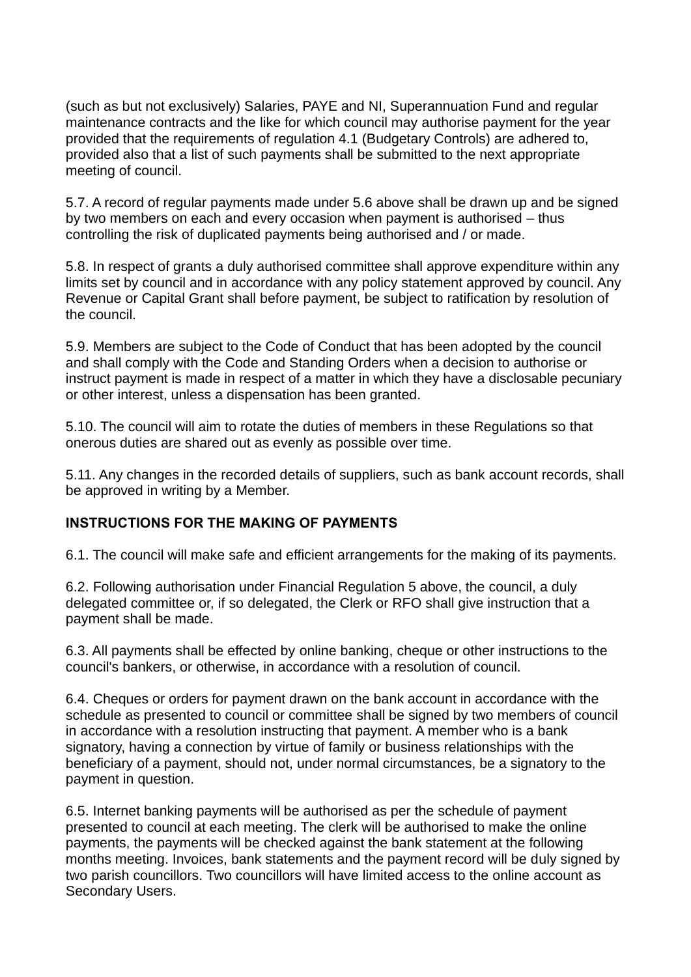(such as but not exclusively) Salaries, PAYE and NI, Superannuation Fund and regular maintenance contracts and the like for which council may authorise payment for the year provided that the requirements of regulation 4.1 (Budgetary Controls) are adhered to, provided also that a list of such payments shall be submitted to the next appropriate meeting of council.

5.7. A record of regular payments made under 5.6 above shall be drawn up and be signed by two members on each and every occasion when payment is authorised – thus controlling the risk of duplicated payments being authorised and / or made.

5.8. In respect of grants a duly authorised committee shall approve expenditure within any limits set by council and in accordance with any policy statement approved by council. Any Revenue or Capital Grant shall before payment, be subject to ratification by resolution of the council.

5.9. Members are subject to the Code of Conduct that has been adopted by the council and shall comply with the Code and Standing Orders when a decision to authorise or instruct payment is made in respect of a matter in which they have a disclosable pecuniary or other interest, unless a dispensation has been granted.

5.10. The council will aim to rotate the duties of members in these Regulations so that onerous duties are shared out as evenly as possible over time.

5.11. Any changes in the recorded details of suppliers, such as bank account records, shall be approved in writing by a Member.

## **INSTRUCTIONS FOR THE MAKING OF PAYMENTS**

6.1. The council will make safe and efficient arrangements for the making of its payments.

6.2. Following authorisation under Financial Regulation 5 above, the council, a duly delegated committee or, if so delegated, the Clerk or RFO shall give instruction that a payment shall be made.

6.3. All payments shall be effected by online banking, cheque or other instructions to the council's bankers, or otherwise, in accordance with a resolution of council.

6.4. Cheques or orders for payment drawn on the bank account in accordance with the schedule as presented to council or committee shall be signed by two members of council in accordance with a resolution instructing that payment. A member who is a bank signatory, having a connection by virtue of family or business relationships with the beneficiary of a payment, should not, under normal circumstances, be a signatory to the payment in question.

6.5. Internet banking payments will be authorised as per the schedule of payment presented to council at each meeting. The clerk will be authorised to make the online payments, the payments will be checked against the bank statement at the following months meeting. Invoices, bank statements and the payment record will be duly signed by two parish councillors. Two councillors will have limited access to the online account as Secondary Users.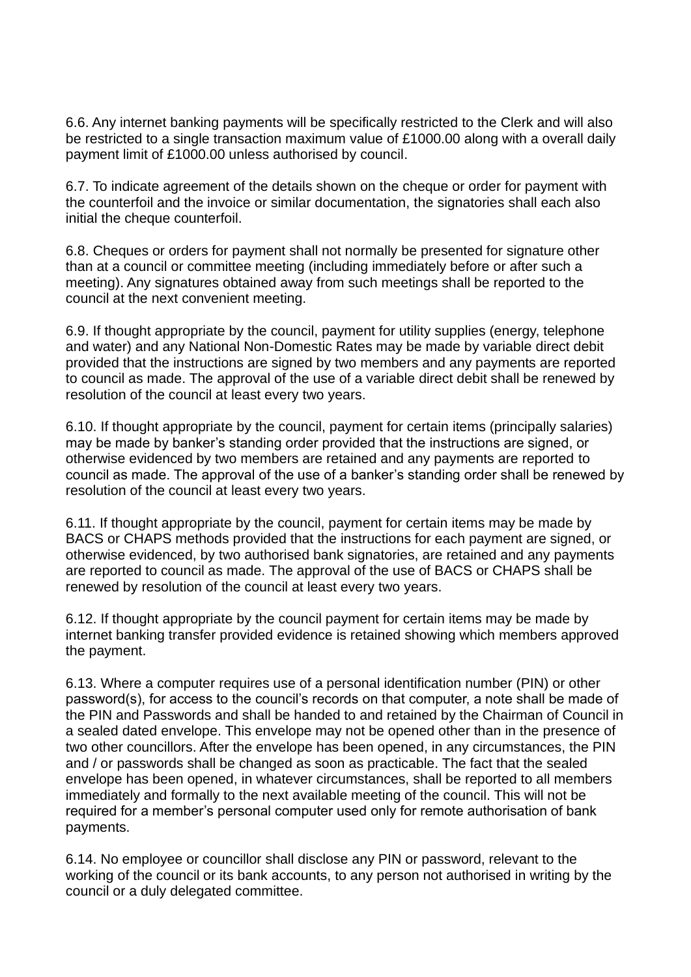6.6. Any internet banking payments will be specifically restricted to the Clerk and will also be restricted to a single transaction maximum value of £1000.00 along with a overall daily payment limit of £1000.00 unless authorised by council.

6.7. To indicate agreement of the details shown on the cheque or order for payment with the counterfoil and the invoice or similar documentation, the signatories shall each also initial the cheque counterfoil.

6.8. Cheques or orders for payment shall not normally be presented for signature other than at a council or committee meeting (including immediately before or after such a meeting). Any signatures obtained away from such meetings shall be reported to the council at the next convenient meeting.

6.9. If thought appropriate by the council, payment for utility supplies (energy, telephone and water) and any National Non-Domestic Rates may be made by variable direct debit provided that the instructions are signed by two members and any payments are reported to council as made. The approval of the use of a variable direct debit shall be renewed by resolution of the council at least every two years.

6.10. If thought appropriate by the council, payment for certain items (principally salaries) may be made by banker's standing order provided that the instructions are signed, or otherwise evidenced by two members are retained and any payments are reported to council as made. The approval of the use of a banker's standing order shall be renewed by resolution of the council at least every two years.

6.11. If thought appropriate by the council, payment for certain items may be made by BACS or CHAPS methods provided that the instructions for each payment are signed, or otherwise evidenced, by two authorised bank signatories, are retained and any payments are reported to council as made. The approval of the use of BACS or CHAPS shall be renewed by resolution of the council at least every two years.

6.12. If thought appropriate by the council payment for certain items may be made by internet banking transfer provided evidence is retained showing which members approved the payment.

6.13. Where a computer requires use of a personal identification number (PIN) or other password(s), for access to the council's records on that computer, a note shall be made of the PIN and Passwords and shall be handed to and retained by the Chairman of Council in a sealed dated envelope. This envelope may not be opened other than in the presence of two other councillors. After the envelope has been opened, in any circumstances, the PIN and / or passwords shall be changed as soon as practicable. The fact that the sealed envelope has been opened, in whatever circumstances, shall be reported to all members immediately and formally to the next available meeting of the council. This will not be required for a member's personal computer used only for remote authorisation of bank payments.

6.14. No employee or councillor shall disclose any PIN or password, relevant to the working of the council or its bank accounts, to any person not authorised in writing by the council or a duly delegated committee.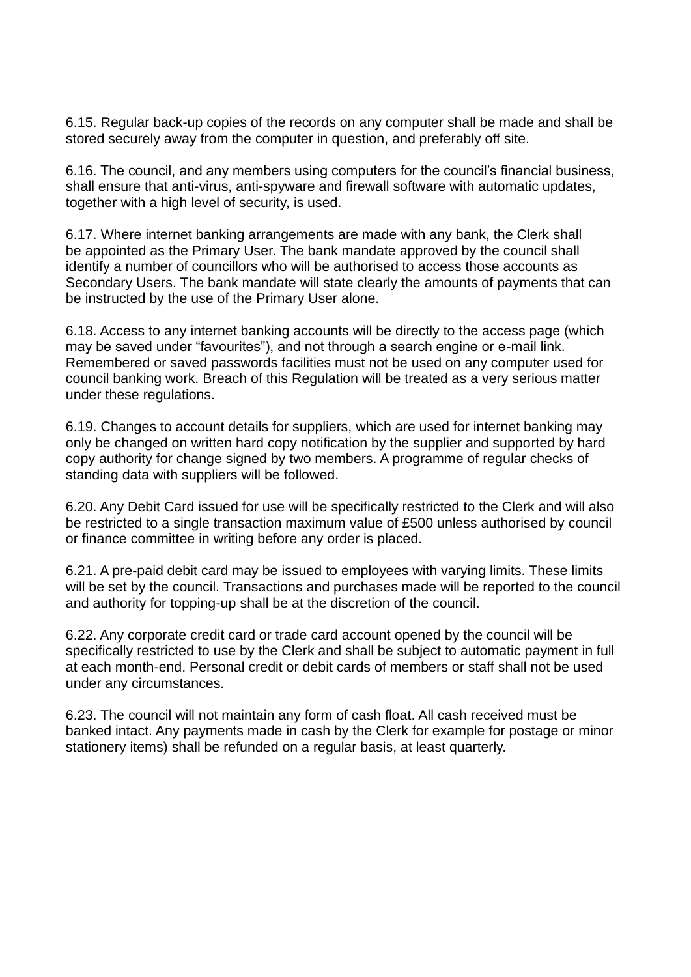6.15. Regular back-up copies of the records on any computer shall be made and shall be stored securely away from the computer in question, and preferably off site.

6.16. The council, and any members using computers for the council's financial business, shall ensure that anti-virus, anti-spyware and firewall software with automatic updates, together with a high level of security, is used.

6.17. Where internet banking arrangements are made with any bank, the Clerk shall be appointed as the Primary User. The bank mandate approved by the council shall identify a number of councillors who will be authorised to access those accounts as Secondary Users. The bank mandate will state clearly the amounts of payments that can be instructed by the use of the Primary User alone.

6.18. Access to any internet banking accounts will be directly to the access page (which may be saved under "favourites"), and not through a search engine or e-mail link. Remembered or saved passwords facilities must not be used on any computer used for council banking work. Breach of this Regulation will be treated as a very serious matter under these regulations.

6.19. Changes to account details for suppliers, which are used for internet banking may only be changed on written hard copy notification by the supplier and supported by hard copy authority for change signed by two members. A programme of regular checks of standing data with suppliers will be followed.

6.20. Any Debit Card issued for use will be specifically restricted to the Clerk and will also be restricted to a single transaction maximum value of £500 unless authorised by council or finance committee in writing before any order is placed.

6.21. A pre-paid debit card may be issued to employees with varying limits. These limits will be set by the council. Transactions and purchases made will be reported to the council and authority for topping-up shall be at the discretion of the council.

6.22. Any corporate credit card or trade card account opened by the council will be specifically restricted to use by the Clerk and shall be subject to automatic payment in full at each month-end. Personal credit or debit cards of members or staff shall not be used under any circumstances.

6.23. The council will not maintain any form of cash float. All cash received must be banked intact. Any payments made in cash by the Clerk for example for postage or minor stationery items) shall be refunded on a regular basis, at least quarterly.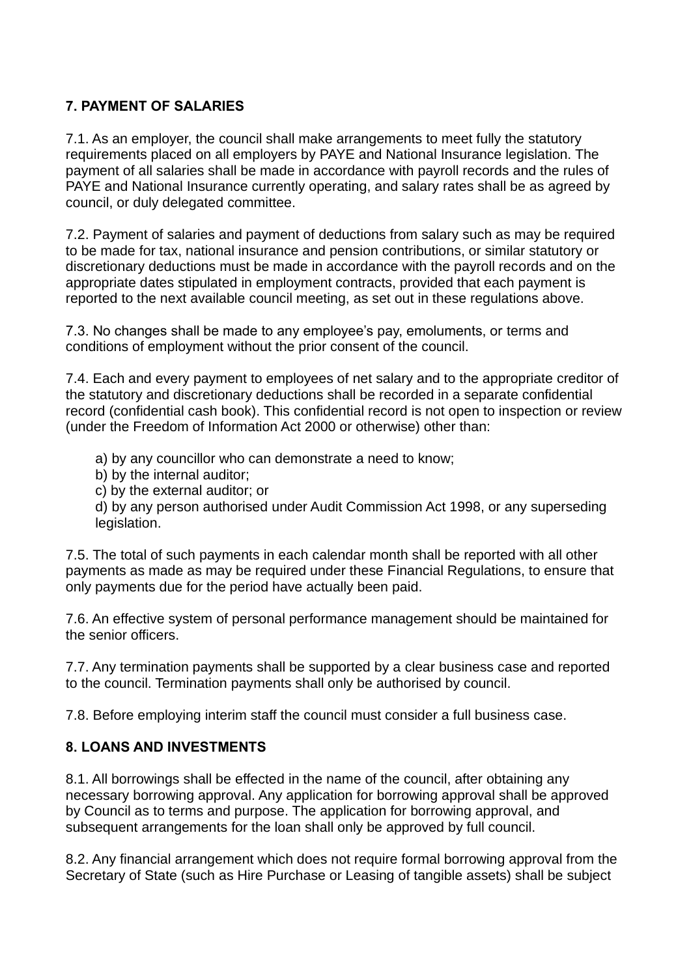## **7. PAYMENT OF SALARIES**

7.1. As an employer, the council shall make arrangements to meet fully the statutory requirements placed on all employers by PAYE and National Insurance legislation. The payment of all salaries shall be made in accordance with payroll records and the rules of PAYE and National Insurance currently operating, and salary rates shall be as agreed by council, or duly delegated committee.

7.2. Payment of salaries and payment of deductions from salary such as may be required to be made for tax, national insurance and pension contributions, or similar statutory or discretionary deductions must be made in accordance with the payroll records and on the appropriate dates stipulated in employment contracts, provided that each payment is reported to the next available council meeting, as set out in these regulations above.

7.3. No changes shall be made to any employee's pay, emoluments, or terms and conditions of employment without the prior consent of the council.

7.4. Each and every payment to employees of net salary and to the appropriate creditor of the statutory and discretionary deductions shall be recorded in a separate confidential record (confidential cash book). This confidential record is not open to inspection or review (under the Freedom of Information Act 2000 or otherwise) other than:

- a) by any councillor who can demonstrate a need to know;
- b) by the internal auditor;
- c) by the external auditor; or

d) by any person authorised under Audit Commission Act 1998, or any superseding legislation.

7.5. The total of such payments in each calendar month shall be reported with all other payments as made as may be required under these Financial Regulations, to ensure that only payments due for the period have actually been paid.

7.6. An effective system of personal performance management should be maintained for the senior officers.

7.7. Any termination payments shall be supported by a clear business case and reported to the council. Termination payments shall only be authorised by council.

7.8. Before employing interim staff the council must consider a full business case.

## **8. LOANS AND INVESTMENTS**

8.1. All borrowings shall be effected in the name of the council, after obtaining any necessary borrowing approval. Any application for borrowing approval shall be approved by Council as to terms and purpose. The application for borrowing approval, and subsequent arrangements for the loan shall only be approved by full council.

8.2. Any financial arrangement which does not require formal borrowing approval from the Secretary of State (such as Hire Purchase or Leasing of tangible assets) shall be subject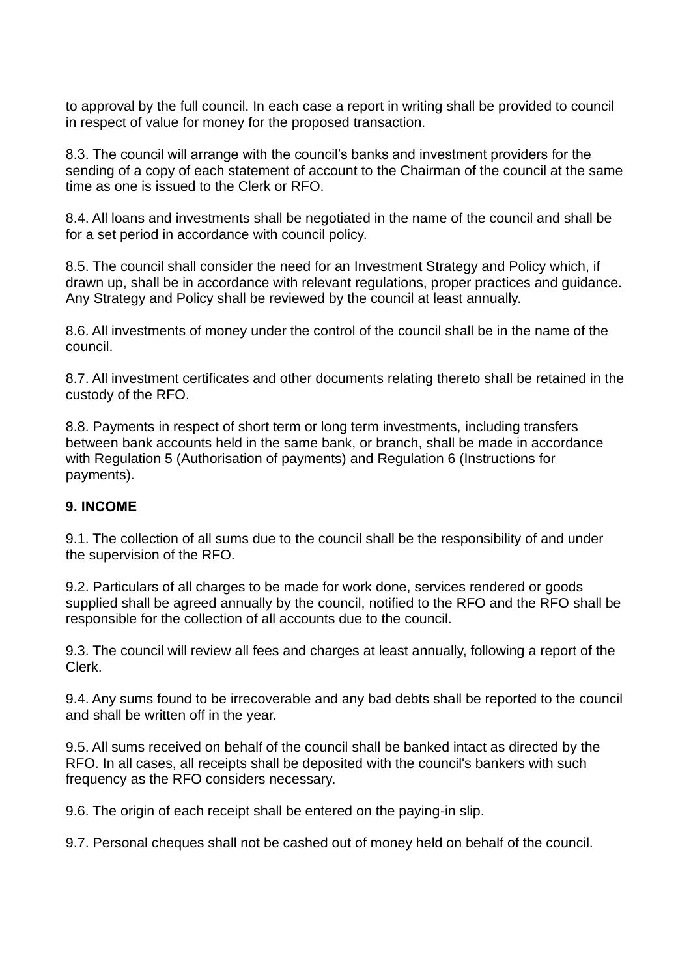to approval by the full council. In each case a report in writing shall be provided to council in respect of value for money for the proposed transaction.

8.3. The council will arrange with the council's banks and investment providers for the sending of a copy of each statement of account to the Chairman of the council at the same time as one is issued to the Clerk or RFO.

8.4. All loans and investments shall be negotiated in the name of the council and shall be for a set period in accordance with council policy.

8.5. The council shall consider the need for an Investment Strategy and Policy which, if drawn up, shall be in accordance with relevant regulations, proper practices and guidance. Any Strategy and Policy shall be reviewed by the council at least annually.

8.6. All investments of money under the control of the council shall be in the name of the council.

8.7. All investment certificates and other documents relating thereto shall be retained in the custody of the RFO.

8.8. Payments in respect of short term or long term investments, including transfers between bank accounts held in the same bank, or branch, shall be made in accordance with Regulation 5 (Authorisation of payments) and Regulation 6 (Instructions for payments).

#### **9. INCOME**

9.1. The collection of all sums due to the council shall be the responsibility of and under the supervision of the RFO.

9.2. Particulars of all charges to be made for work done, services rendered or goods supplied shall be agreed annually by the council, notified to the RFO and the RFO shall be responsible for the collection of all accounts due to the council.

9.3. The council will review all fees and charges at least annually, following a report of the Clerk.

9.4. Any sums found to be irrecoverable and any bad debts shall be reported to the council and shall be written off in the year.

9.5. All sums received on behalf of the council shall be banked intact as directed by the RFO. In all cases, all receipts shall be deposited with the council's bankers with such frequency as the RFO considers necessary.

9.6. The origin of each receipt shall be entered on the paying-in slip.

9.7. Personal cheques shall not be cashed out of money held on behalf of the council.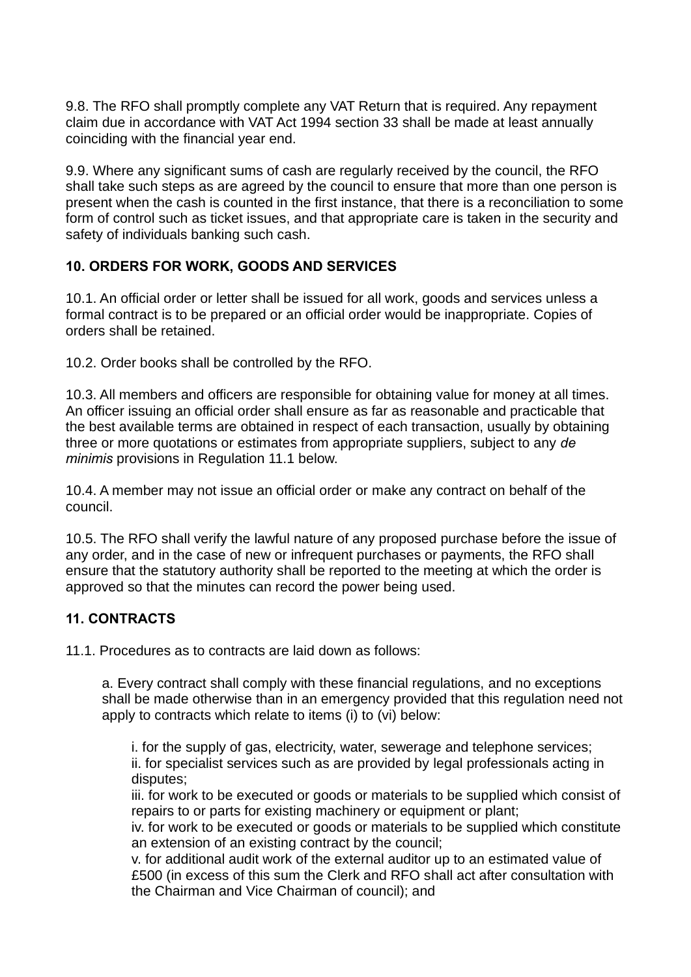9.8. The RFO shall promptly complete any VAT Return that is required. Any repayment claim due in accordance with VAT Act 1994 section 33 shall be made at least annually coinciding with the financial year end.

9.9. Where any significant sums of cash are regularly received by the council, the RFO shall take such steps as are agreed by the council to ensure that more than one person is present when the cash is counted in the first instance, that there is a reconciliation to some form of control such as ticket issues, and that appropriate care is taken in the security and safety of individuals banking such cash.

## **10. ORDERS FOR WORK, GOODS AND SERVICES**

10.1. An official order or letter shall be issued for all work, goods and services unless a formal contract is to be prepared or an official order would be inappropriate. Copies of orders shall be retained.

10.2. Order books shall be controlled by the RFO.

10.3. All members and officers are responsible for obtaining value for money at all times. An officer issuing an official order shall ensure as far as reasonable and practicable that the best available terms are obtained in respect of each transaction, usually by obtaining three or more quotations or estimates from appropriate suppliers, subject to any *de minimis* provisions in Regulation 11.1 below.

10.4. A member may not issue an official order or make any contract on behalf of the council.

10.5. The RFO shall verify the lawful nature of any proposed purchase before the issue of any order, and in the case of new or infrequent purchases or payments, the RFO shall ensure that the statutory authority shall be reported to the meeting at which the order is approved so that the minutes can record the power being used.

# **11. CONTRACTS**

11.1. Procedures as to contracts are laid down as follows:

a. Every contract shall comply with these financial regulations, and no exceptions shall be made otherwise than in an emergency provided that this regulation need not apply to contracts which relate to items (i) to (vi) below:

i. for the supply of gas, electricity, water, sewerage and telephone services; ii. for specialist services such as are provided by legal professionals acting in disputes;

iii. for work to be executed or goods or materials to be supplied which consist of repairs to or parts for existing machinery or equipment or plant;

iv. for work to be executed or goods or materials to be supplied which constitute an extension of an existing contract by the council;

v. for additional audit work of the external auditor up to an estimated value of £500 (in excess of this sum the Clerk and RFO shall act after consultation with the Chairman and Vice Chairman of council); and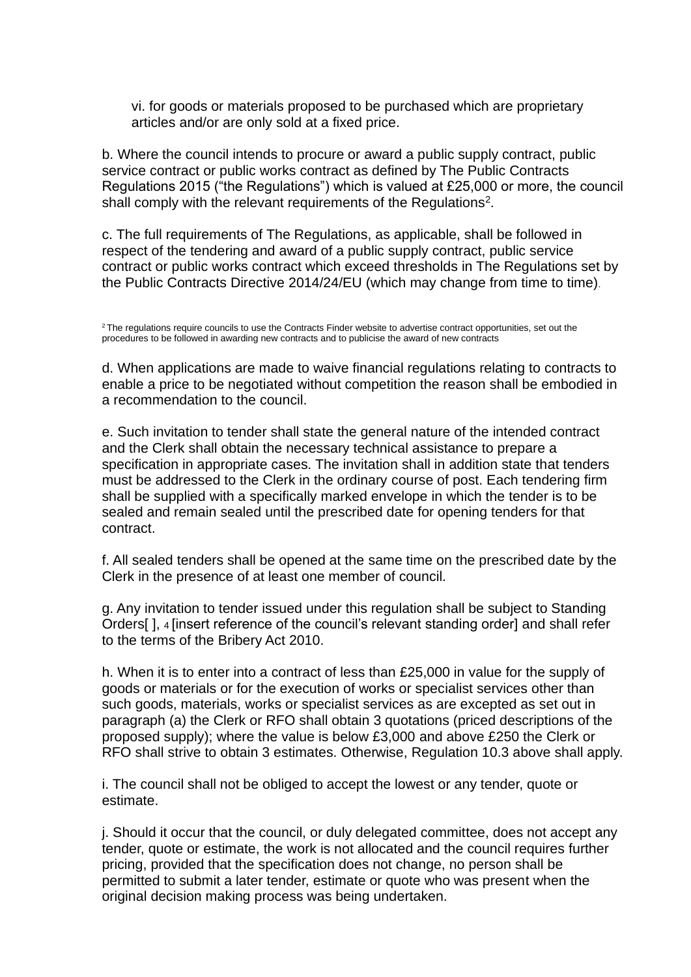vi. for goods or materials proposed to be purchased which are proprietary articles and/or are only sold at a fixed price.

b. Where the council intends to procure or award a public supply contract, public service contract or public works contract as defined by The Public Contracts Regulations 2015 ("the Regulations") which is valued at £25,000 or more, the council shall comply with the relevant requirements of the Regulations<sup>2</sup>.

c. The full requirements of The Regulations, as applicable, shall be followed in respect of the tendering and award of a public supply contract, public service contract or public works contract which exceed thresholds in The Regulations set by the Public Contracts Directive 2014/24/EU (which may change from time to time).

<sup>2</sup>The regulations require councils to use the Contracts Finder website to advertise contract opportunities, set out the procedures to be followed in awarding new contracts and to publicise the award of new contracts

d. When applications are made to waive financial regulations relating to contracts to enable a price to be negotiated without competition the reason shall be embodied in a recommendation to the council.

e. Such invitation to tender shall state the general nature of the intended contract and the Clerk shall obtain the necessary technical assistance to prepare a specification in appropriate cases. The invitation shall in addition state that tenders must be addressed to the Clerk in the ordinary course of post. Each tendering firm shall be supplied with a specifically marked envelope in which the tender is to be sealed and remain sealed until the prescribed date for opening tenders for that contract.

f. All sealed tenders shall be opened at the same time on the prescribed date by the Clerk in the presence of at least one member of council.

g. Any invitation to tender issued under this regulation shall be subject to Standing Orders[ ], 4 [insert reference of the council's relevant standing order] and shall refer to the terms of the Bribery Act 2010.

h. When it is to enter into a contract of less than £25,000 in value for the supply of goods or materials or for the execution of works or specialist services other than such goods, materials, works or specialist services as are excepted as set out in paragraph (a) the Clerk or RFO shall obtain 3 quotations (priced descriptions of the proposed supply); where the value is below £3,000 and above £250 the Clerk or RFO shall strive to obtain 3 estimates. Otherwise, Regulation 10.3 above shall apply.

i. The council shall not be obliged to accept the lowest or any tender, quote or estimate.

j. Should it occur that the council, or duly delegated committee, does not accept any tender, quote or estimate, the work is not allocated and the council requires further pricing, provided that the specification does not change, no person shall be permitted to submit a later tender, estimate or quote who was present when the original decision making process was being undertaken.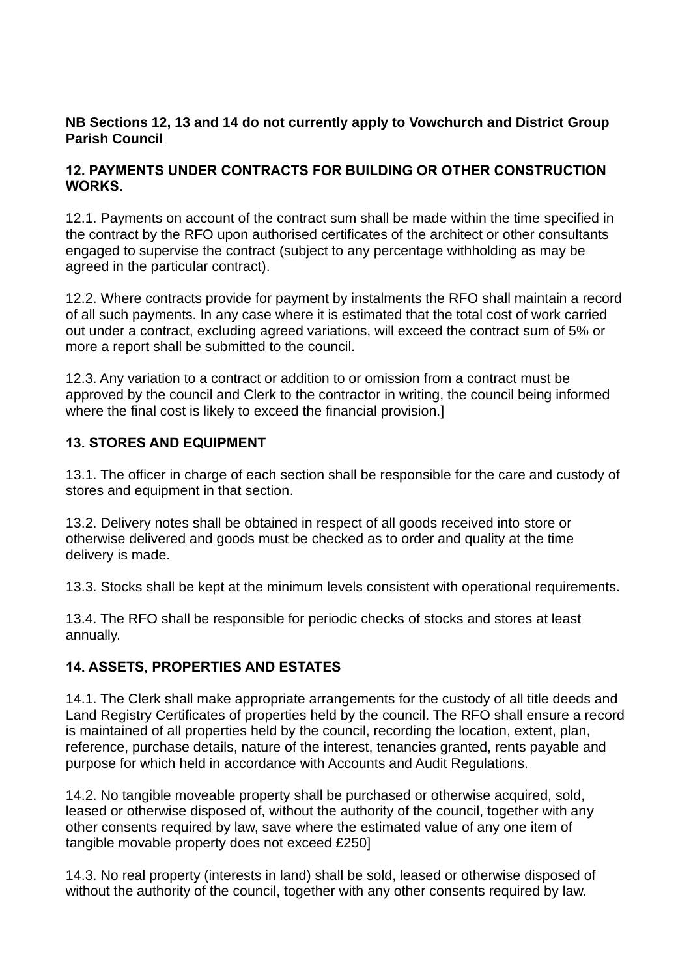#### **NB Sections 12, 13 and 14 do not currently apply to Vowchurch and District Group Parish Council**

#### **12. PAYMENTS UNDER CONTRACTS FOR BUILDING OR OTHER CONSTRUCTION WORKS.**

12.1. Payments on account of the contract sum shall be made within the time specified in the contract by the RFO upon authorised certificates of the architect or other consultants engaged to supervise the contract (subject to any percentage withholding as may be agreed in the particular contract).

12.2. Where contracts provide for payment by instalments the RFO shall maintain a record of all such payments. In any case where it is estimated that the total cost of work carried out under a contract, excluding agreed variations, will exceed the contract sum of 5% or more a report shall be submitted to the council.

12.3. Any variation to a contract or addition to or omission from a contract must be approved by the council and Clerk to the contractor in writing, the council being informed where the final cost is likely to exceed the financial provision.]

## **13. STORES AND EQUIPMENT**

13.1. The officer in charge of each section shall be responsible for the care and custody of stores and equipment in that section.

13.2. Delivery notes shall be obtained in respect of all goods received into store or otherwise delivered and goods must be checked as to order and quality at the time delivery is made.

13.3. Stocks shall be kept at the minimum levels consistent with operational requirements.

13.4. The RFO shall be responsible for periodic checks of stocks and stores at least annually.

## **14. ASSETS, PROPERTIES AND ESTATES**

14.1. The Clerk shall make appropriate arrangements for the custody of all title deeds and Land Registry Certificates of properties held by the council. The RFO shall ensure a record is maintained of all properties held by the council, recording the location, extent, plan, reference, purchase details, nature of the interest, tenancies granted, rents payable and purpose for which held in accordance with Accounts and Audit Regulations.

14.2. No tangible moveable property shall be purchased or otherwise acquired, sold, leased or otherwise disposed of, without the authority of the council, together with any other consents required by law, save where the estimated value of any one item of tangible movable property does not exceed £250]

14.3. No real property (interests in land) shall be sold, leased or otherwise disposed of without the authority of the council, together with any other consents required by law.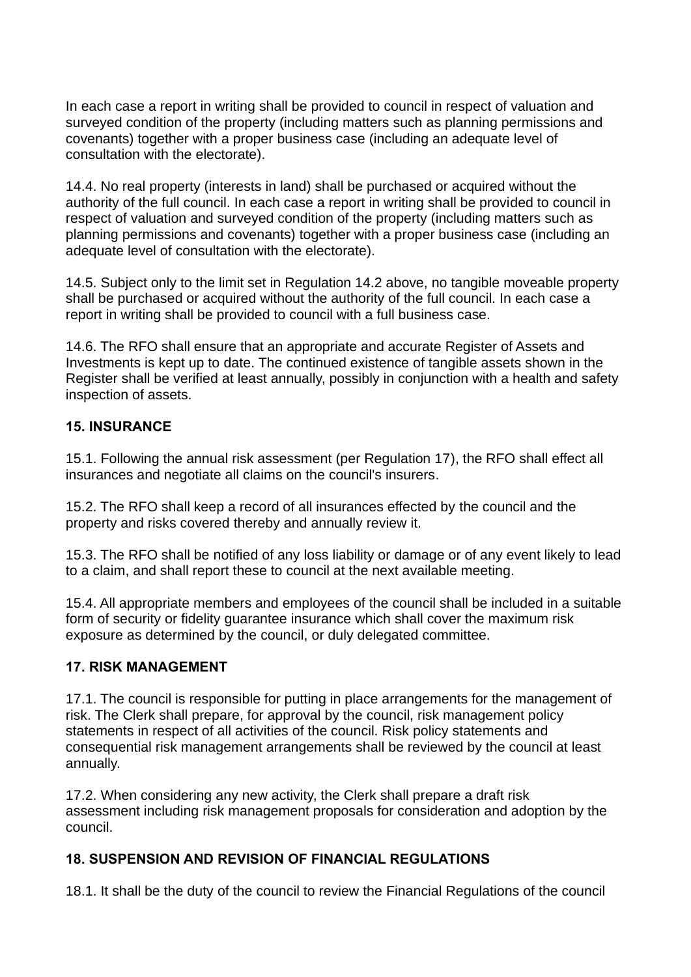In each case a report in writing shall be provided to council in respect of valuation and surveyed condition of the property (including matters such as planning permissions and covenants) together with a proper business case (including an adequate level of consultation with the electorate).

14.4. No real property (interests in land) shall be purchased or acquired without the authority of the full council. In each case a report in writing shall be provided to council in respect of valuation and surveyed condition of the property (including matters such as planning permissions and covenants) together with a proper business case (including an adequate level of consultation with the electorate).

14.5. Subject only to the limit set in Regulation 14.2 above, no tangible moveable property shall be purchased or acquired without the authority of the full council. In each case a report in writing shall be provided to council with a full business case.

14.6. The RFO shall ensure that an appropriate and accurate Register of Assets and Investments is kept up to date. The continued existence of tangible assets shown in the Register shall be verified at least annually, possibly in conjunction with a health and safety inspection of assets.

#### **15. INSURANCE**

15.1. Following the annual risk assessment (per Regulation 17), the RFO shall effect all insurances and negotiate all claims on the council's insurers.

15.2. The RFO shall keep a record of all insurances effected by the council and the property and risks covered thereby and annually review it.

15.3. The RFO shall be notified of any loss liability or damage or of any event likely to lead to a claim, and shall report these to council at the next available meeting.

15.4. All appropriate members and employees of the council shall be included in a suitable form of security or fidelity guarantee insurance which shall cover the maximum risk exposure as determined by the council, or duly delegated committee.

## **17. RISK MANAGEMENT**

17.1. The council is responsible for putting in place arrangements for the management of risk. The Clerk shall prepare, for approval by the council, risk management policy statements in respect of all activities of the council. Risk policy statements and consequential risk management arrangements shall be reviewed by the council at least annually.

17.2. When considering any new activity, the Clerk shall prepare a draft risk assessment including risk management proposals for consideration and adoption by the council.

## **18. SUSPENSION AND REVISION OF FINANCIAL REGULATIONS**

18.1. It shall be the duty of the council to review the Financial Regulations of the council